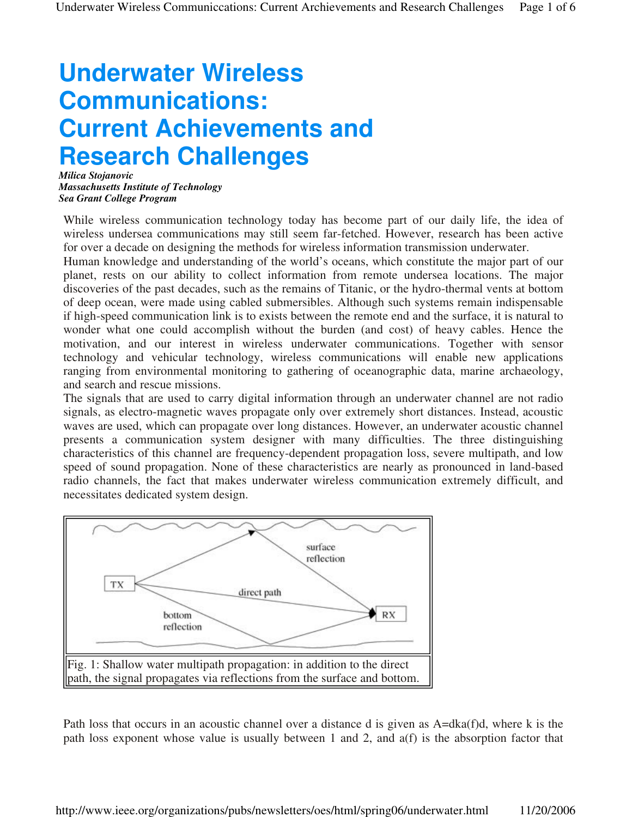## **Underwater Wireless Communications: Current Achievements and Research Challenges**

*Milica Stojanovic Massachusetts Institute of Technology Sea Grant College Program*

While wireless communication technology today has become part of our daily life, the idea of wireless undersea communications may still seem far-fetched. However, research has been active for over a decade on designing the methods for wireless information transmission underwater.

Human knowledge and understanding of the world's oceans, which constitute the major part of our planet, rests on our ability to collect information from remote undersea locations. The major discoveries of the past decades, such as the remains of Titanic, or the hydro-thermal vents at bottom of deep ocean, were made using cabled submersibles. Although such systems remain indispensable if high-speed communication link is to exists between the remote end and the surface, it is natural to wonder what one could accomplish without the burden (and cost) of heavy cables. Hence the motivation, and our interest in wireless underwater communications. Together with sensor technology and vehicular technology, wireless communications will enable new applications ranging from environmental monitoring to gathering of oceanographic data, marine archaeology, and search and rescue missions.

The signals that are used to carry digital information through an underwater channel are not radio signals, as electro-magnetic waves propagate only over extremely short distances. Instead, acoustic waves are used, which can propagate over long distances. However, an underwater acoustic channel presents a communication system designer with many difficulties. The three distinguishing characteristics of this channel are frequency-dependent propagation loss, severe multipath, and low speed of sound propagation. None of these characteristics are nearly as pronounced in land-based radio channels, the fact that makes underwater wireless communication extremely difficult, and necessitates dedicated system design.



Path loss that occurs in an acoustic channel over a distance d is given as A=dka(f)d, where k is the path loss exponent whose value is usually between 1 and 2, and a(f) is the absorption factor that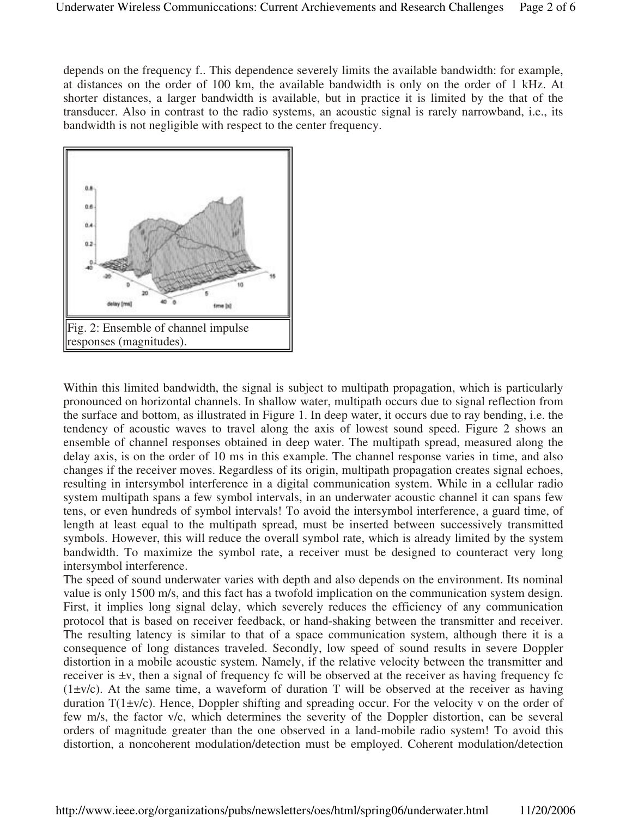depends on the frequency f.. This dependence severely limits the available bandwidth: for example, at distances on the order of 100 km, the available bandwidth is only on the order of 1 kHz. At shorter distances, a larger bandwidth is available, but in practice it is limited by the that of the transducer. Also in contrast to the radio systems, an acoustic signal is rarely narrowband, i.e., its bandwidth is not negligible with respect to the center frequency.



Within this limited bandwidth, the signal is subject to multipath propagation, which is particularly pronounced on horizontal channels. In shallow water, multipath occurs due to signal reflection from the surface and bottom, as illustrated in Figure 1. In deep water, it occurs due to ray bending, i.e. the tendency of acoustic waves to travel along the axis of lowest sound speed. Figure 2 shows an ensemble of channel responses obtained in deep water. The multipath spread, measured along the delay axis, is on the order of 10 ms in this example. The channel response varies in time, and also changes if the receiver moves. Regardless of its origin, multipath propagation creates signal echoes, resulting in intersymbol interference in a digital communication system. While in a cellular radio system multipath spans a few symbol intervals, in an underwater acoustic channel it can spans few tens, or even hundreds of symbol intervals! To avoid the intersymbol interference, a guard time, of length at least equal to the multipath spread, must be inserted between successively transmitted symbols. However, this will reduce the overall symbol rate, which is already limited by the system bandwidth. To maximize the symbol rate, a receiver must be designed to counteract very long intersymbol interference.

The speed of sound underwater varies with depth and also depends on the environment. Its nominal value is only 1500 m/s, and this fact has a twofold implication on the communication system design. First, it implies long signal delay, which severely reduces the efficiency of any communication protocol that is based on receiver feedback, or hand-shaking between the transmitter and receiver. The resulting latency is similar to that of a space communication system, although there it is a consequence of long distances traveled. Secondly, low speed of sound results in severe Doppler distortion in a mobile acoustic system. Namely, if the relative velocity between the transmitter and receiver is ±v, then a signal of frequency fc will be observed at the receiver as having frequency fc  $(1\pm v/c)$ . At the same time, a waveform of duration T will be observed at the receiver as having duration  $T(1\pm v/c)$ . Hence, Doppler shifting and spreading occur. For the velocity v on the order of few m/s, the factor v/c, which determines the severity of the Doppler distortion, can be several orders of magnitude greater than the one observed in a land-mobile radio system! To avoid this distortion, a noncoherent modulation/detection must be employed. Coherent modulation/detection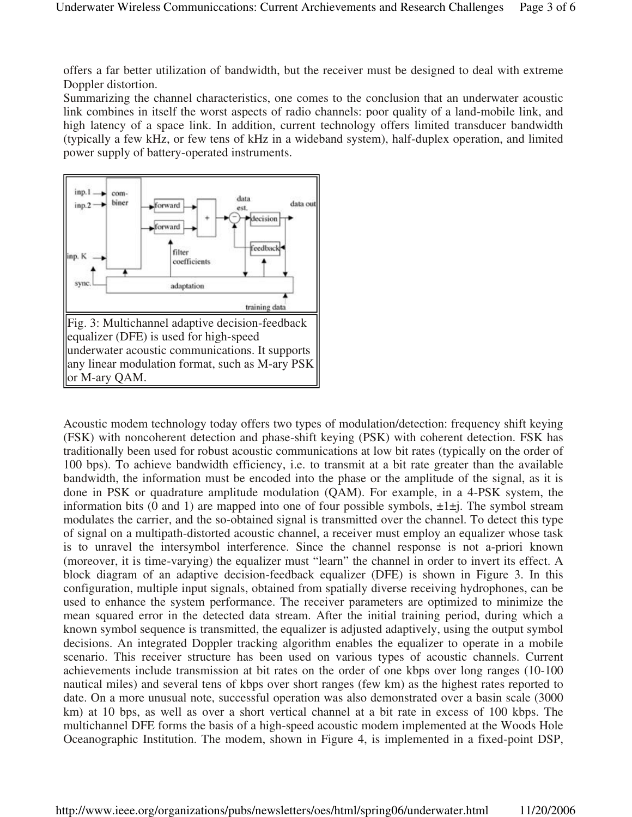offers a far better utilization of bandwidth, but the receiver must be designed to deal with extreme Doppler distortion.

Summarizing the channel characteristics, one comes to the conclusion that an underwater acoustic link combines in itself the worst aspects of radio channels: poor quality of a land-mobile link, and high latency of a space link. In addition, current technology offers limited transducer bandwidth (typically a few kHz, or few tens of kHz in a wideband system), half-duplex operation, and limited power supply of battery-operated instruments.



Acoustic modem technology today offers two types of modulation/detection: frequency shift keying (FSK) with noncoherent detection and phase-shift keying (PSK) with coherent detection. FSK has traditionally been used for robust acoustic communications at low bit rates (typically on the order of 100 bps). To achieve bandwidth efficiency, i.e. to transmit at a bit rate greater than the available bandwidth, the information must be encoded into the phase or the amplitude of the signal, as it is done in PSK or quadrature amplitude modulation (QAM). For example, in a 4-PSK system, the information bits (0 and 1) are mapped into one of four possible symbols,  $\pm 1 \pm j$ . The symbol stream modulates the carrier, and the so-obtained signal is transmitted over the channel. To detect this type of signal on a multipath-distorted acoustic channel, a receiver must employ an equalizer whose task is to unravel the intersymbol interference. Since the channel response is not a-priori known (moreover, it is time-varying) the equalizer must "learn" the channel in order to invert its effect. A block diagram of an adaptive decision-feedback equalizer (DFE) is shown in Figure 3. In this configuration, multiple input signals, obtained from spatially diverse receiving hydrophones, can be used to enhance the system performance. The receiver parameters are optimized to minimize the mean squared error in the detected data stream. After the initial training period, during which a known symbol sequence is transmitted, the equalizer is adjusted adaptively, using the output symbol decisions. An integrated Doppler tracking algorithm enables the equalizer to operate in a mobile scenario. This receiver structure has been used on various types of acoustic channels. Current achievements include transmission at bit rates on the order of one kbps over long ranges (10-100 nautical miles) and several tens of kbps over short ranges (few km) as the highest rates reported to date. On a more unusual note, successful operation was also demonstrated over a basin scale (3000 km) at 10 bps, as well as over a short vertical channel at a bit rate in excess of 100 kbps. The multichannel DFE forms the basis of a high-speed acoustic modem implemented at the Woods Hole Oceanographic Institution. The modem, shown in Figure 4, is implemented in a fixed-point DSP,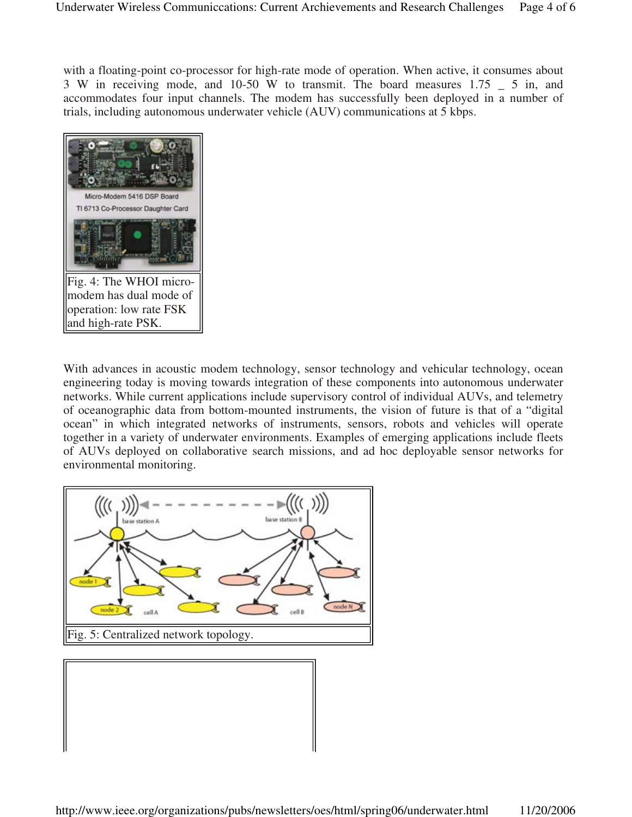with a floating-point co-processor for high-rate mode of operation. When active, it consumes about 3 W in receiving mode, and 10-50 W to transmit. The board measures 1.75 \_ 5 in, and accommodates four input channels. The modem has successfully been deployed in a number of trials, including autonomous underwater vehicle (AUV) communications at 5 kbps.



With advances in acoustic modem technology, sensor technology and vehicular technology, ocean engineering today is moving towards integration of these components into autonomous underwater networks. While current applications include supervisory control of individual AUVs, and telemetry of oceanographic data from bottom-mounted instruments, the vision of future is that of a "digital ocean" in which integrated networks of instruments, sensors, robots and vehicles will operate together in a variety of underwater environments. Examples of emerging applications include fleets of AUVs deployed on collaborative search missions, and ad hoc deployable sensor networks for environmental monitoring.



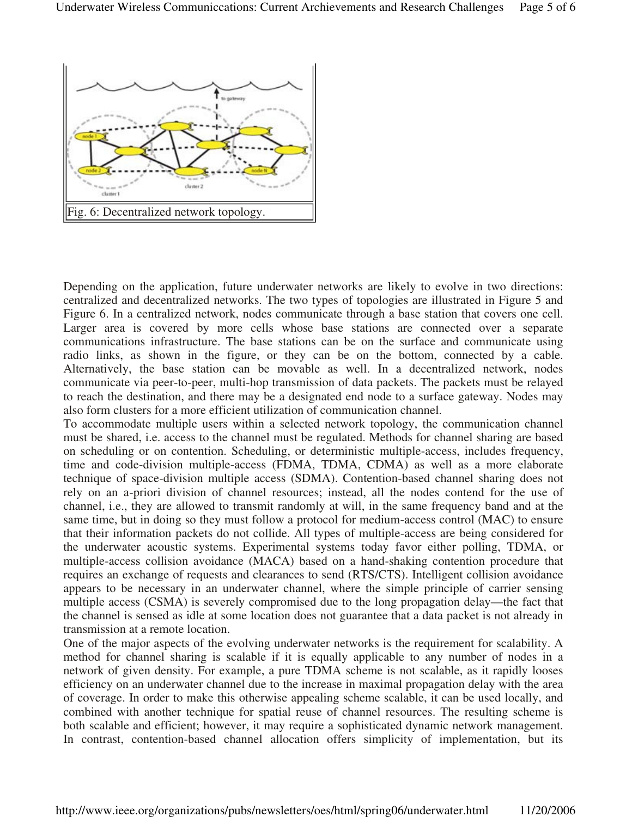

Depending on the application, future underwater networks are likely to evolve in two directions: centralized and decentralized networks. The two types of topologies are illustrated in Figure 5 and Figure 6. In a centralized network, nodes communicate through a base station that covers one cell. Larger area is covered by more cells whose base stations are connected over a separate communications infrastructure. The base stations can be on the surface and communicate using radio links, as shown in the figure, or they can be on the bottom, connected by a cable. Alternatively, the base station can be movable as well. In a decentralized network, nodes communicate via peer-to-peer, multi-hop transmission of data packets. The packets must be relayed to reach the destination, and there may be a designated end node to a surface gateway. Nodes may also form clusters for a more efficient utilization of communication channel.

To accommodate multiple users within a selected network topology, the communication channel must be shared, i.e. access to the channel must be regulated. Methods for channel sharing are based on scheduling or on contention. Scheduling, or deterministic multiple-access, includes frequency, time and code-division multiple-access (FDMA, TDMA, CDMA) as well as a more elaborate technique of space-division multiple access (SDMA). Contention-based channel sharing does not rely on an a-priori division of channel resources; instead, all the nodes contend for the use of channel, i.e., they are allowed to transmit randomly at will, in the same frequency band and at the same time, but in doing so they must follow a protocol for medium-access control (MAC) to ensure that their information packets do not collide. All types of multiple-access are being considered for the underwater acoustic systems. Experimental systems today favor either polling, TDMA, or multiple-access collision avoidance (MACA) based on a hand-shaking contention procedure that requires an exchange of requests and clearances to send (RTS/CTS). Intelligent collision avoidance appears to be necessary in an underwater channel, where the simple principle of carrier sensing multiple access (CSMA) is severely compromised due to the long propagation delay—the fact that the channel is sensed as idle at some location does not guarantee that a data packet is not already in transmission at a remote location.

One of the major aspects of the evolving underwater networks is the requirement for scalability. A method for channel sharing is scalable if it is equally applicable to any number of nodes in a network of given density. For example, a pure TDMA scheme is not scalable, as it rapidly looses efficiency on an underwater channel due to the increase in maximal propagation delay with the area of coverage. In order to make this otherwise appealing scheme scalable, it can be used locally, and combined with another technique for spatial reuse of channel resources. The resulting scheme is both scalable and efficient; however, it may require a sophisticated dynamic network management. In contrast, contention-based channel allocation offers simplicity of implementation, but its